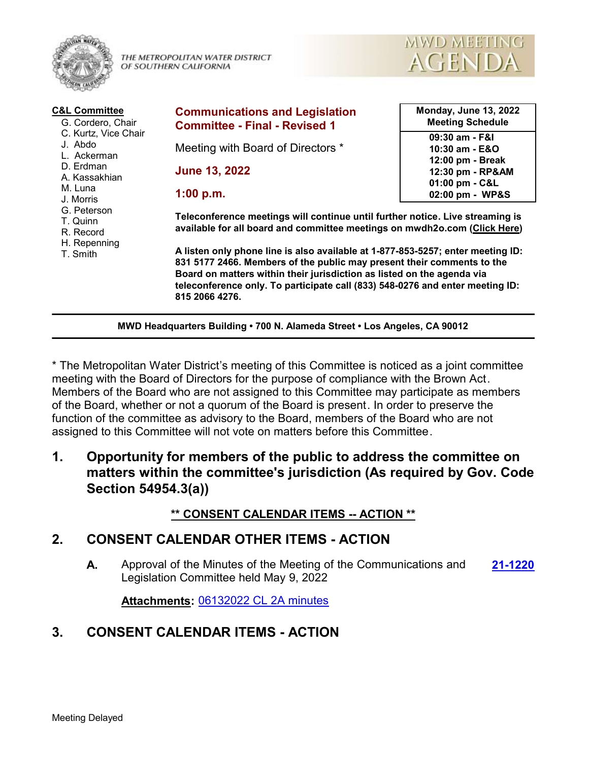

THE METROPOLITAN WATER DISTRICT OF SOUTHERN CALIFORNIA



| <b>C&amp;L Committee</b><br>G. Cordero, Chair<br>C. Kurtz, Vice Chair<br>J. Abdo<br>L. Ackerman<br>D. Erdman<br>A. Kassakhian<br>M. Luna<br>J. Morris<br>G. Peterson<br>T. Quinn<br>R. Record<br>H. Repenning<br>T. Smith | <b>Communications and Legislation</b><br><b>Committee - Final - Revised 1</b>                                                                                                                                                                                                                                                          | <b>Monday, June 13, 2022</b><br><b>Meeting Schedule</b> |  |  |
|---------------------------------------------------------------------------------------------------------------------------------------------------------------------------------------------------------------------------|----------------------------------------------------------------------------------------------------------------------------------------------------------------------------------------------------------------------------------------------------------------------------------------------------------------------------------------|---------------------------------------------------------|--|--|
|                                                                                                                                                                                                                           | Meeting with Board of Directors *                                                                                                                                                                                                                                                                                                      | 09:30 am - F&I<br>10:30 am - E&O<br>12:00 pm - Break    |  |  |
|                                                                                                                                                                                                                           | <b>June 13, 2022</b>                                                                                                                                                                                                                                                                                                                   | 12:30 pm - RP&AM<br>01:00 pm - C&L                      |  |  |
|                                                                                                                                                                                                                           | 1:00 p.m.                                                                                                                                                                                                                                                                                                                              | 02:00 pm - WP&S                                         |  |  |
|                                                                                                                                                                                                                           | Teleconference meetings will continue until further notice. Live streaming is<br>available for all board and committee meetings on mwdh2o.com (Click Here)                                                                                                                                                                             |                                                         |  |  |
|                                                                                                                                                                                                                           | A listen only phone line is also available at 1-877-853-5257; enter meeting ID:<br>831 5177 2466. Members of the public may present their comments to the<br>Board on matters within their jurisdiction as listed on the agenda via<br>teleconference only. To participate call (833) 548-0276 and enter meeting ID:<br>815 2066 4276. |                                                         |  |  |
| MWD Headquarters Building . 700 N. Alameda Street . Los Angeles, CA 90012                                                                                                                                                 |                                                                                                                                                                                                                                                                                                                                        |                                                         |  |  |

\* The Metropolitan Water District's meeting of this Committee is noticed as a joint committee meeting with the Board of Directors for the purpose of compliance with the Brown Act. Members of the Board who are not assigned to this Committee may participate as members of the Board, whether or not a quorum of the Board is present. In order to preserve the function of the committee as advisory to the Board, members of the Board who are not assigned to this Committee will not vote on matters before this Committee.

**1. Opportunity for members of the public to address the committee on matters within the committee's jurisdiction (As required by Gov. Code Section 54954.3(a))**

### **\*\* CONSENT CALENDAR ITEMS -- ACTION \*\***

## **2. CONSENT CALENDAR OTHER ITEMS - ACTION**

**A.** Approval of the Minutes of the Meeting of the Communications and **[21-1220](http://mwdh2o.legistar.com/gateway.aspx?m=l&id=/matter.aspx?key=2312)** Legislation Committee held May 9, 2022

**Attachments:** [06132022 CL 2A minutes](http://mwdh2o.legistar.com/gateway.aspx?M=F&ID=097468f7-84c3-486d-bf41-929d220c7c82.pdf)

# **3. CONSENT CALENDAR ITEMS - ACTION**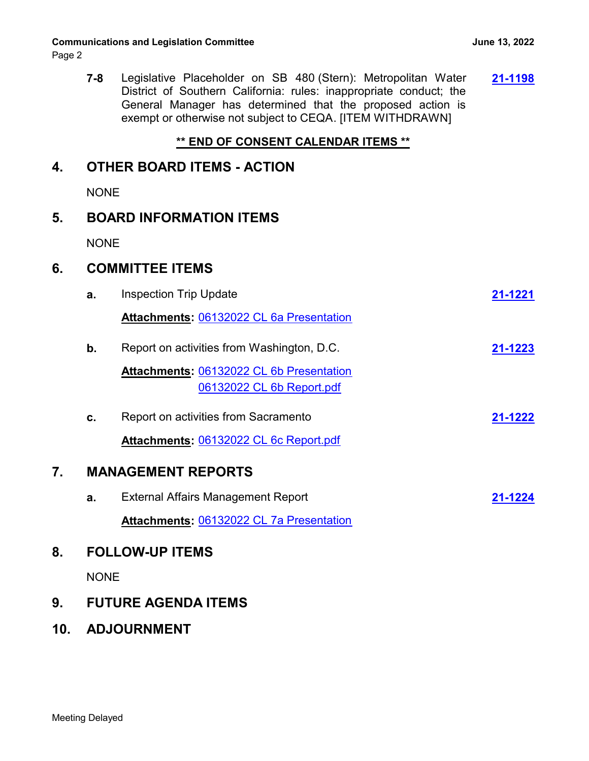#### **Communications and Legislation Committee <b>Account 2018** 10:45 10:47 June 13, 2022

Page 2

**7-8** Legislative Placeholder on SB 480 (Stern): Metropolitan Water **[21-1198](http://mwdh2o.legistar.com/gateway.aspx?m=l&id=/matter.aspx?key=2290)** District of Southern California: rules: inappropriate conduct; the General Manager has determined that the proposed action is exempt or otherwise not subject to CEQA. [ITEM WITHDRAWN]

#### **\*\* END OF CONSENT CALENDAR ITEMS \*\***

#### **4. OTHER BOARD ITEMS - ACTION**

**NONE** 

#### **5. BOARD INFORMATION ITEMS**

NONE

#### **6. COMMITTEE ITEMS**

|    | а. | <b>Inspection Trip Update</b>                   | 21-1221 |  |
|----|----|-------------------------------------------------|---------|--|
|    |    | Attachments: 06132022 CL 6a Presentation        |         |  |
|    | b. | Report on activities from Washington, D.C.      | 21-1223 |  |
|    |    | <b>Attachments: 06132022 CL 6b Presentation</b> |         |  |
|    |    | 06132022 CL 6b Report.pdf                       |         |  |
|    | c. | Report on activities from Sacramento            | 21-1222 |  |
|    |    | Attachments: 06132022 CL 6c Report.pdf          |         |  |
| 7. |    | <b>MANAGEMENT REPORTS</b>                       |         |  |
|    | a. | External Affairs Management Report              | 21-1224 |  |
|    |    | <b>Attachments: 06132022 CL 7a Presentation</b> |         |  |
| 8. |    | <b>FOLLOW-UP ITEMS</b>                          |         |  |
|    |    |                                                 |         |  |

NONE

### **9. FUTURE AGENDA ITEMS**

**10. ADJOURNMENT**